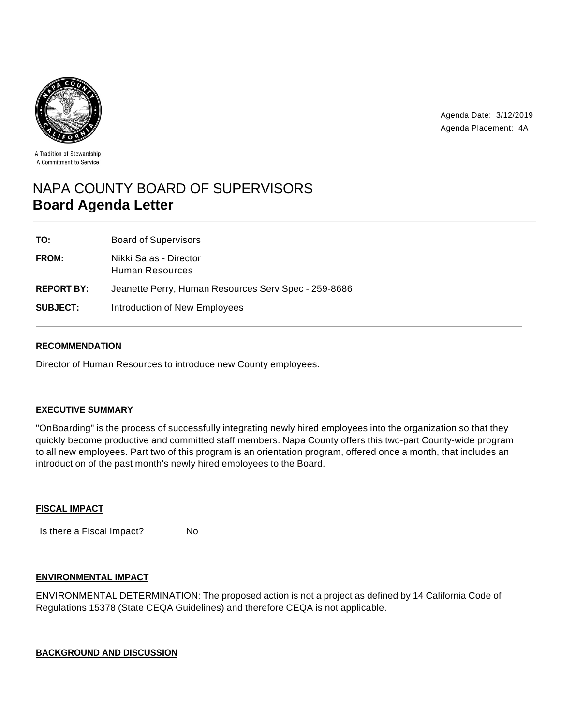

Agenda Date: 3/12/2019 Agenda Placement: 4A

A Tradition of Stewardship A Commitment to Service

# NAPA COUNTY BOARD OF SUPERVISORS **Board Agenda Letter**

| TO:               | <b>Board of Supervisors</b>                          |
|-------------------|------------------------------------------------------|
| <b>FROM:</b>      | Nikki Salas - Director<br>Human Resources            |
| <b>REPORT BY:</b> | Jeanette Perry, Human Resources Serv Spec - 259-8686 |
| <b>SUBJECT:</b>   | Introduction of New Employees                        |

## **RECOMMENDATION**

Director of Human Resources to introduce new County employees.

## **EXECUTIVE SUMMARY**

"OnBoarding" is the process of successfully integrating newly hired employees into the organization so that they quickly become productive and committed staff members. Napa County offers this two-part County-wide program to all new employees. Part two of this program is an orientation program, offered once a month, that includes an introduction of the past month's newly hired employees to the Board.

#### **FISCAL IMPACT**

Is there a Fiscal Impact? No

## **ENVIRONMENTAL IMPACT**

ENVIRONMENTAL DETERMINATION: The proposed action is not a project as defined by 14 California Code of Regulations 15378 (State CEQA Guidelines) and therefore CEQA is not applicable.

## **BACKGROUND AND DISCUSSION**